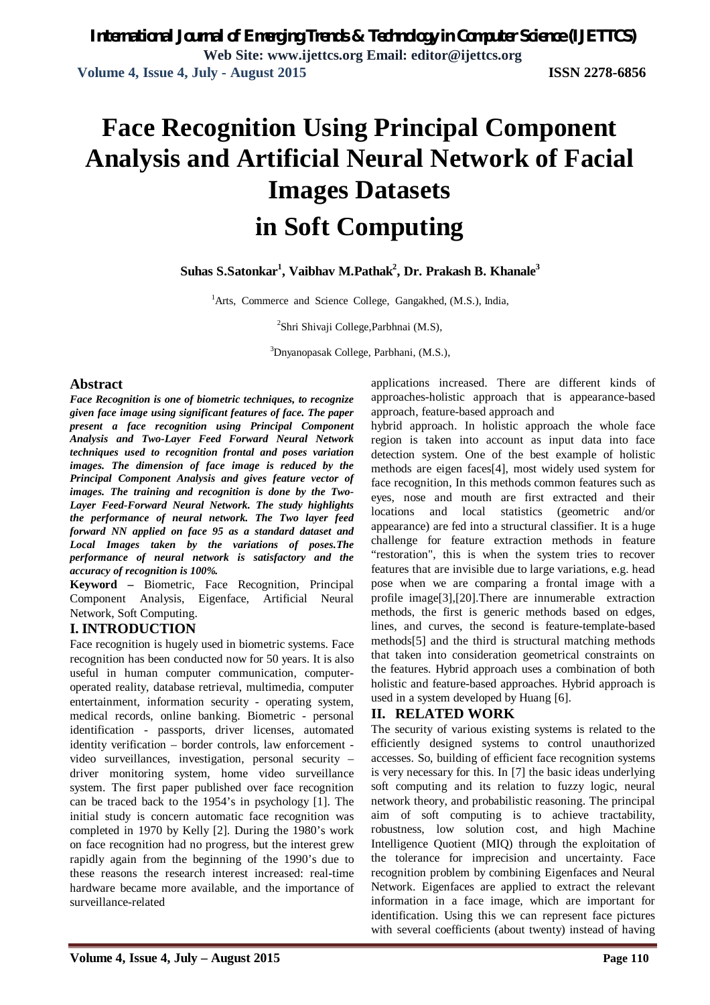# **Face Recognition Using Principal Component Analysis and Artificial Neural Network of Facial Images Datasets in Soft Computing**

# **Suhas S.Satonkar<sup>1</sup> , Vaibhav M.Pathak<sup>2</sup> , Dr. Prakash B. Khanale<sup>3</sup>**

<sup>1</sup>Arts, Commerce and Science College, Gangakhed, (M.S.), India,

<sup>2</sup>Shri Shivaji College, Parbhnai (M.S),

<sup>3</sup>Dnyanopasak College, Parbhani, (M.S.),

#### **Abstract**

*Face Recognition is one of biometric techniques, to recognize given face image using significant features of face. The paper present a face recognition using Principal Component Analysis and Two-Layer Feed Forward Neural Network techniques used to recognition frontal and poses variation images. The dimension of face image is reduced by the Principal Component Analysis and gives feature vector of images. The training and recognition is done by the Two-Layer Feed-Forward Neural Network. The study highlights the performance of neural network. The Two layer feed forward NN applied on face 95 as a standard dataset and Local Images taken by the variations of poses.The performance of neural network is satisfactory and the accuracy of recognition is 100%.*

**Keyword –** Biometric, Face Recognition, Principal Component Analysis, Eigenface, Artificial Neural Network, Soft Computing.

### **I. INTRODUCTION**

Face recognition is hugely used in biometric systems. Face recognition has been conducted now for 50 years. It is also useful in human computer communication, computeroperated reality, database retrieval, multimedia, computer entertainment, information security - operating system, medical records, online banking. Biometric - personal identification - passports, driver licenses, automated identity verification – border controls, law enforcement video surveillances, investigation, personal security – driver monitoring system, home video surveillance system. The first paper published over face recognition can be traced back to the 1954's in psychology [1]. The initial study is concern automatic face recognition was completed in 1970 by Kelly [2]. During the 1980's work on face recognition had no progress, but the interest grew rapidly again from the beginning of the 1990's due to these reasons the research interest increased: real-time hardware became more available, and the importance of surveillance-related

applications increased. There are different kinds of approaches-holistic approach that is appearance-based approach, feature-based approach and

hybrid approach. In holistic approach the whole face region is taken into account as input data into face detection system. One of the best example of holistic methods are eigen faces[4], most widely used system for face recognition, In this methods common features such as eyes, nose and mouth are first extracted and their locations and local statistics (geometric and/or appearance) are fed into a structural classifier. It is a huge challenge for feature extraction methods in feature "restoration", this is when the system tries to recover features that are invisible due to large variations, e.g. head pose when we are comparing a frontal image with a profile image[3],[20].There are innumerable extraction methods, the first is generic methods based on edges, lines, and curves, the second is feature-template-based methods[5] and the third is structural matching methods that taken into consideration geometrical constraints on the features. Hybrid approach uses a combination of both holistic and feature-based approaches. Hybrid approach is used in a system developed by Huang [6].

#### **II. RELATED WORK**

The security of various existing systems is related to the efficiently designed systems to control unauthorized accesses. So, building of efficient face recognition systems is very necessary for this. In [7] the basic ideas underlying soft computing and its relation to fuzzy logic, neural network theory, and probabilistic reasoning. The principal aim of soft computing is to achieve tractability, robustness, low solution cost, and high Machine Intelligence Quotient (MIQ) through the exploitation of the tolerance for imprecision and uncertainty. Face recognition problem by combining Eigenfaces and Neural Network. Eigenfaces are applied to extract the relevant information in a face image, which are important for identification. Using this we can represent face pictures with several coefficients (about twenty) instead of having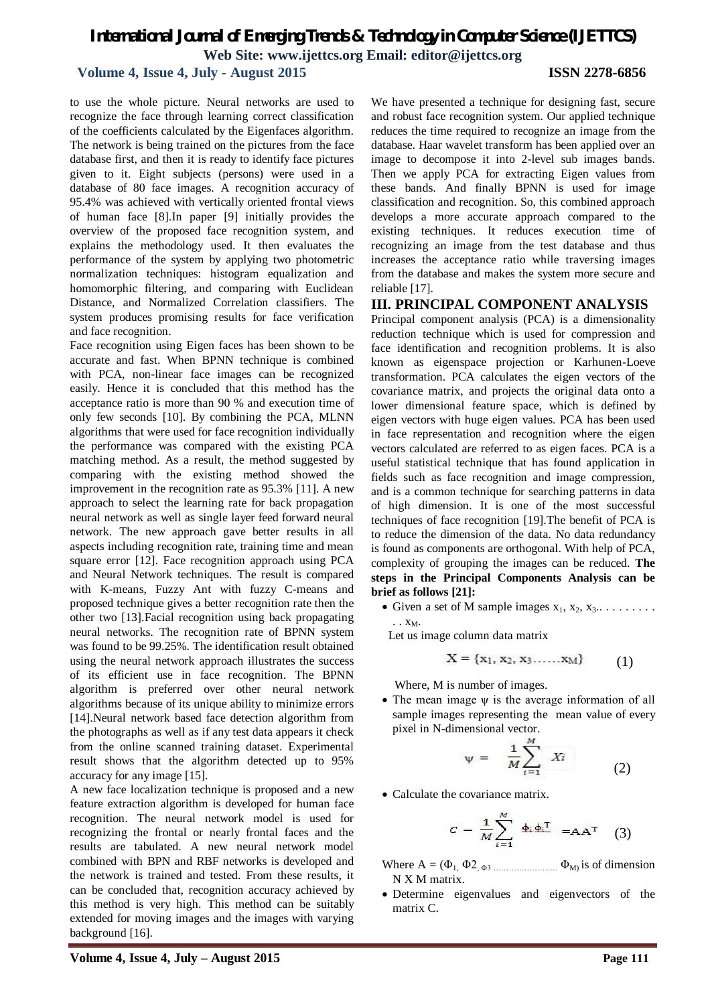#### **Volume 4, Issue 4, July - August 2015 ISSN 2278-6856**

to use the whole picture. Neural networks are used to recognize the face through learning correct classification of the coefficients calculated by the Eigenfaces algorithm. The network is being trained on the pictures from the face database first, and then it is ready to identify face pictures given to it. Eight subjects (persons) were used in a database of 80 face images. A recognition accuracy of 95.4% was achieved with vertically oriented frontal views of human face [8].In paper [9] initially provides the overview of the proposed face recognition system, and explains the methodology used. It then evaluates the performance of the system by applying two photometric normalization techniques: histogram equalization and homomorphic filtering, and comparing with Euclidean Distance, and Normalized Correlation classifiers. The system produces promising results for face verification and face recognition.

Face recognition using Eigen faces has been shown to be accurate and fast. When BPNN technique is combined with PCA, non-linear face images can be recognized easily. Hence it is concluded that this method has the acceptance ratio is more than 90 % and execution time of only few seconds [10]. By combining the PCA, MLNN algorithms that were used for face recognition individually the performance was compared with the existing PCA matching method. As a result, the method suggested by comparing with the existing method showed the improvement in the recognition rate as 95.3% [11]. A new approach to select the learning rate for back propagation neural network as well as single layer feed forward neural network. The new approach gave better results in all aspects including recognition rate, training time and mean square error [12]. Face recognition approach using PCA and Neural Network techniques. The result is compared with K-means, Fuzzy Ant with fuzzy C-means and proposed technique gives a better recognition rate then the other two [13].Facial recognition using back propagating neural networks. The recognition rate of BPNN system was found to be 99.25%. The identification result obtained using the neural network approach illustrates the success of its efficient use in face recognition. The BPNN algorithm is preferred over other neural network algorithms because of its unique ability to minimize errors [14].Neural network based face detection algorithm from the photographs as well as if any test data appears it check from the online scanned training dataset. Experimental result shows that the algorithm detected up to 95% accuracy for any image [15].

A new face localization technique is proposed and a new feature extraction algorithm is developed for human face recognition. The neural network model is used for recognizing the frontal or nearly frontal faces and the results are tabulated. A new neural network model combined with BPN and RBF networks is developed and the network is trained and tested. From these results, it can be concluded that, recognition accuracy achieved by this method is very high. This method can be suitably extended for moving images and the images with varying background [16].

We have presented a technique for designing fast, secure and robust face recognition system. Our applied technique reduces the time required to recognize an image from the database. Haar wavelet transform has been applied over an image to decompose it into 2-level sub images bands. Then we apply PCA for extracting Eigen values from these bands. And finally BPNN is used for image classification and recognition. So, this combined approach develops a more accurate approach compared to the existing techniques. It reduces execution time of recognizing an image from the test database and thus increases the acceptance ratio while traversing images from the database and makes the system more secure and reliable [17].

#### **III. PRINCIPAL COMPONENT ANALYSIS**

Principal component analysis (PCA) is a dimensionality reduction technique which is used for compression and face identification and recognition problems. It is also known as eigenspace projection or Karhunen-Loeve transformation. PCA calculates the eigen vectors of the covariance matrix, and projects the original data onto a lower dimensional feature space, which is defined by eigen vectors with huge eigen values. PCA has been used in face representation and recognition where the eigen vectors calculated are referred to as eigen faces. PCA is a useful statistical technique that has found application in fields such as face recognition and image compression, and is a common technique for searching patterns in data of high dimension. It is one of the most successful techniques of face recognition [19].The benefit of PCA is to reduce the dimension of the data. No data redundancy is found as components are orthogonal. With help of PCA, complexity of grouping the images can be reduced. **The steps in the Principal Components Analysis can be brief as follows [21]:**

• Given a set of M sample images  $x_1, x_2, x_3... \dots$ .  $\cdot$  .  $X_M$ .

Let us image column data matrix

$$
X = \{x_1, x_2, x_3, \dots, x_M\} \tag{1}
$$

Where, M is number of images.

• The mean image  $\psi$  is the average information of all sample images representing the mean value of every pixel in N-dimensional vector.

$$
\Psi = \frac{1}{M} \sum_{i=1}^{M} X_i \tag{2}
$$

• Calculate the covariance matrix.

$$
C = \frac{1}{M} \sum_{i=1}^{M} \Phi_{i} \Phi_{i}^{T} = AA^{T} \quad (3)
$$

- Where  $A = (\Phi_1, \Phi_2, \Phi_3, \dots, \Phi_M)$  is of dimension N X M matrix.
- Determine eigenvalues and eigenvectors of the matrix C.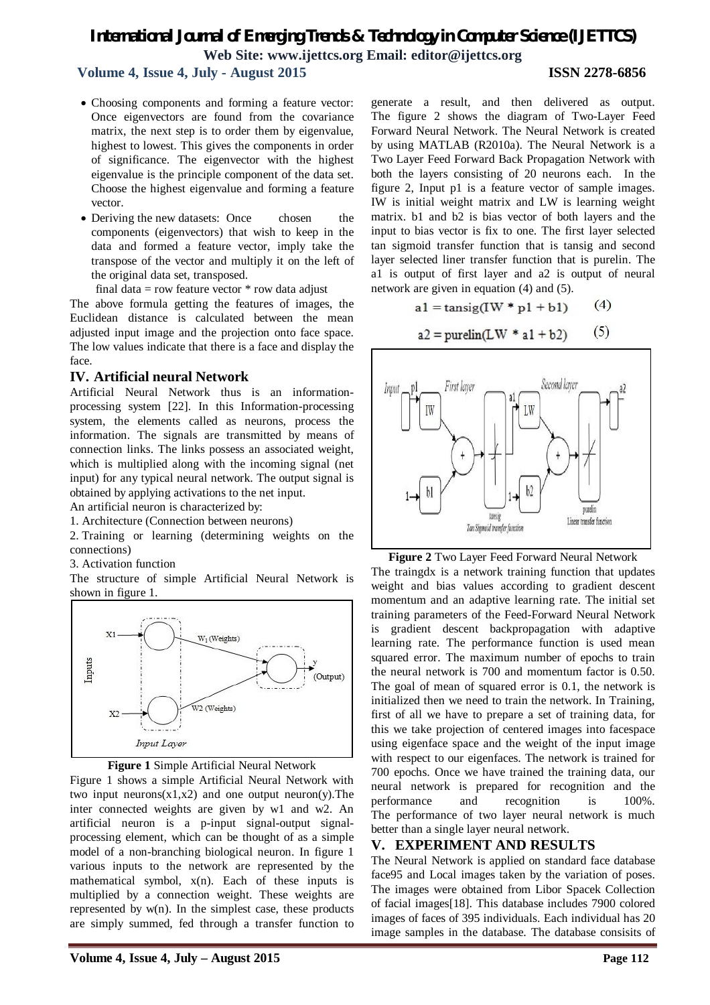# **Volume 4, Issue 4, July - August 2015 ISSN 2278-6856**

#### Choosing components and forming a feature vector: Once eigenvectors are found from the covariance matrix, the next step is to order them by eigenvalue, highest to lowest. This gives the components in order of significance. The eigenvector with the highest eigenvalue is the principle component of the data set. Choose the highest eigenvalue and forming a feature vector.

• Deriving the new datasets: Once chosen the components (eigenvectors) that wish to keep in the data and formed a feature vector, imply take the transpose of the vector and multiply it on the left of the original data set, transposed.

final data = row feature vector  $*$  row data adjust

The above formula getting the features of images, the Euclidean distance is calculated between the mean adjusted input image and the projection onto face space. The low values indicate that there is a face and display the face.

#### **IV. Artificial neural Network**

Artificial Neural Network thus is an informationprocessing system [22]. In this Information-processing system, the elements called as neurons, process the information. The signals are transmitted by means of connection links. The links possess an associated weight, which is multiplied along with the incoming signal (net input) for any typical neural network. The output signal is obtained by applying activations to the net input.

An artificial neuron is characterized by:

1. Architecture (Connection between neurons)

2. Training or learning (determining weights on the connections)

3. Activation function

The structure of simple Artificial Neural Network is shown in figure 1.





Figure 1 shows a simple Artificial Neural Network with two input neurons $(x1,x2)$  and one output neuron(y). The inter connected weights are given by w1 and w2. An artificial neuron is a p-input signal-output signalprocessing element, which can be thought of as a simple model of a non-branching biological neuron. In figure 1 various inputs to the network are represented by the mathematical symbol, x(n). Each of these inputs is multiplied by a connection weight. These weights are represented by w(n). In the simplest case, these products are simply summed, fed through a transfer function to

generate a result, and then delivered as output. The figure 2 shows the diagram of Two-Layer Feed Forward Neural Network. The Neural Network is created by using MATLAB (R2010a). The Neural Network is a Two Layer Feed Forward Back Propagation Network with both the layers consisting of 20 neurons each. In the figure 2, Input p1 is a feature vector of sample images. IW is initial weight matrix and LW is learning weight matrix. b1 and b2 is bias vector of both layers and the input to bias vector is fix to one. The first layer selected tan sigmoid transfer function that is tansig and second layer selected liner transfer function that is purelin. The a1 is output of first layer and a2 is output of neural network are given in equation (4) and (5).

$$
a1 = \tan\left(\text{IW} * \text{p1} + \text{b1}\right) \tag{4}
$$

$$
a2 = \text{purelin}(\text{LW} * a1 + b2) \tag{5}
$$



**Figure 2** Two Layer Feed Forward Neural Network

The traingdx is a network training function that updates weight and bias values according to gradient descent momentum and an adaptive learning rate. The initial set training parameters of the Feed-Forward Neural Network is gradient descent backpropagation with adaptive learning rate. The performance function is used mean squared error. The maximum number of epochs to train the neural network is 700 and momentum factor is 0.50. The goal of mean of squared error is 0.1, the network is initialized then we need to train the network. In Training, first of all we have to prepare a set of training data, for this we take projection of centered images into facespace using eigenface space and the weight of the input image with respect to our eigenfaces. The network is trained for 700 epochs. Once we have trained the training data, our neural network is prepared for recognition and the performance and recognition is 100%. The performance of two layer neural network is much better than a single layer neural network.

### **V. EXPERIMENT AND RESULTS**

The Neural Network is applied on standard face database face95 and Local images taken by the variation of poses. The images were obtained from Libor Spacek Collection of facial images[18]. This database includes 7900 colored images of faces of 395 individuals. Each individual has 20 image samples in the database. The database consisits of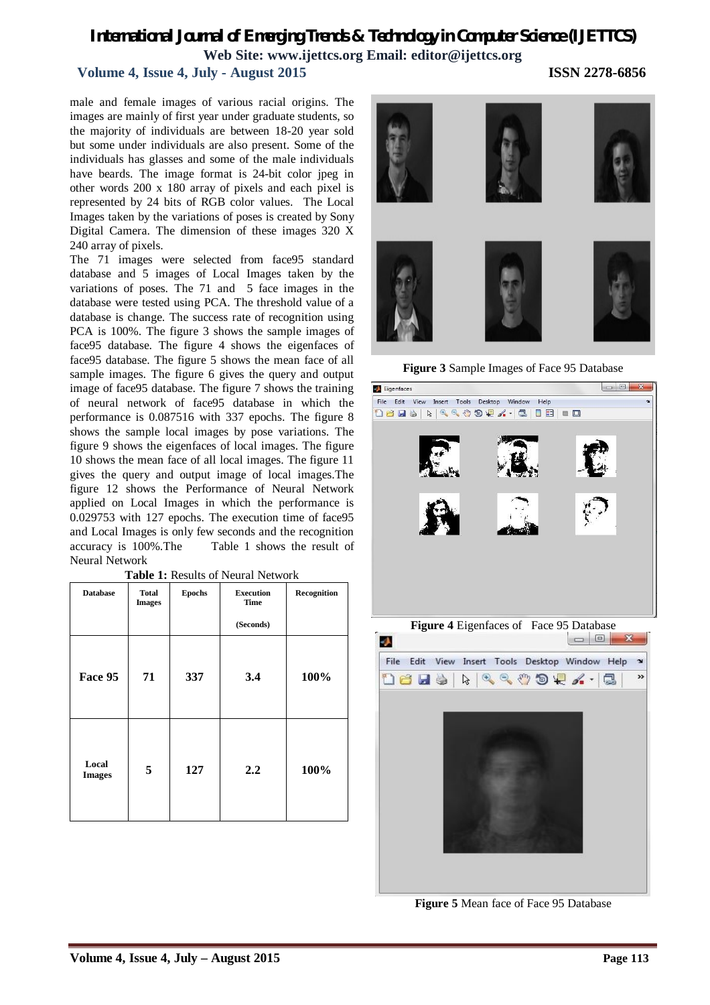# **Volume 4, Issue 4, July - August 2015 ISSN 2278-6856**

male and female images of various racial origins. The images are mainly of first year under graduate students, so the majority of individuals are between 18-20 year sold but some under individuals are also present. Some of the individuals has glasses and some of the male individuals have beards. The image format is 24-bit color jpeg in other words 200 x 180 array of pixels and each pixel is represented by 24 bits of RGB color values. The Local Images taken by the variations of poses is created by Sony Digital Camera. The dimension of these images 320 X 240 array of pixels.

The 71 images were selected from face95 standard database and 5 images of Local Images taken by the variations of poses. The 71 and 5 face images in the database were tested using PCA. The threshold value of a database is change. The success rate of recognition using PCA is 100%. The figure 3 shows the sample images of face95 database. The figure 4 shows the eigenfaces of face95 database. The figure 5 shows the mean face of all sample images. The figure 6 gives the query and output image of face95 database. The figure 7 shows the training of neural network of face95 database in which the performance is 0.087516 with 337 epochs. The figure 8 shows the sample local images by pose variations. The figure 9 shows the eigenfaces of local images. The figure 10 shows the mean face of all local images. The figure 11 gives the query and output image of local images.The figure 12 shows the Performance of Neural Network applied on Local Images in which the performance is 0.029753 with 127 epochs. The execution time of face95 and Local Images is only few seconds and the recognition accuracy is 100%.The Table 1 shows the result of Neural Network

| <b>Database</b>        | Total<br><b>Images</b> | <b>Epochs</b> | <b>Execution</b><br><b>Time</b> | Recognition |
|------------------------|------------------------|---------------|---------------------------------|-------------|
|                        |                        |               | (Seconds)                       |             |
| Face 95                | 71                     | 337           | 3.4                             | 100%        |
| Local<br><b>Images</b> | 5                      | 127           | 2.2                             | 100%        |

**Table 1:** Results of Neural Network



**Figure 3** Sample Images of Face 95 Database





**Figure 5** Mean face of Face 95 Database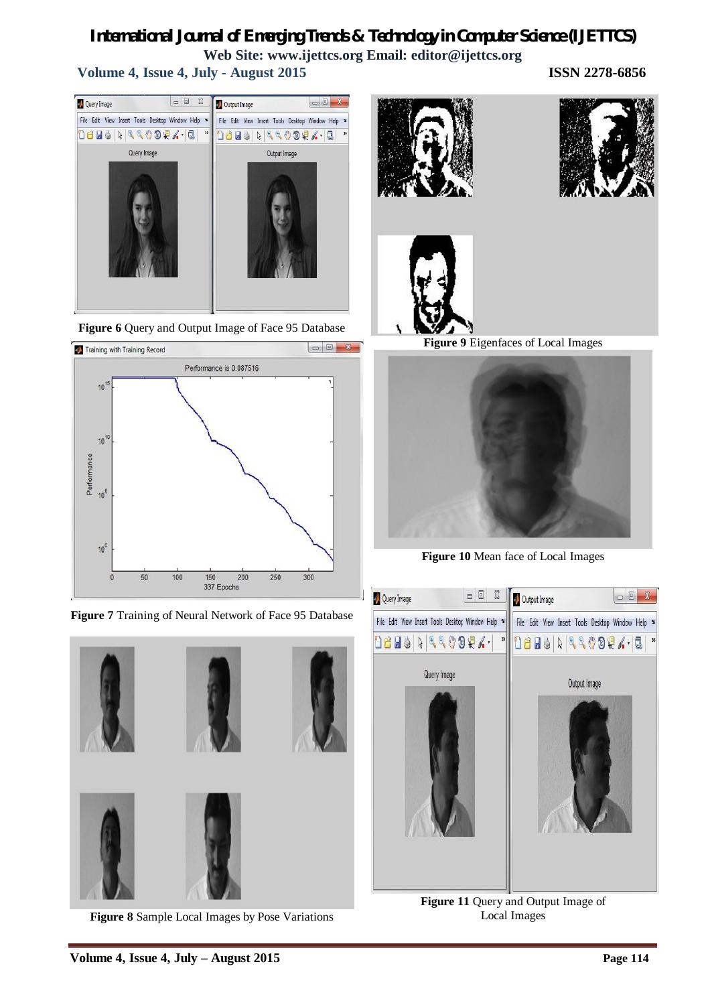**Volume 4, Issue 4, July - August 2015 ISSN 2278-6856**



**Figure 6** Query and Output Image of Face 95 Database



**Figure 7** Training of Neural Network of Face 95 Database



**Figure 8** Sample Local Images by Pose Variations







**Figure 9** Eigenfaces of Local Images



**Figure 10** Mean face of Local Images



**Figure 11** Query and Output Image of Local Images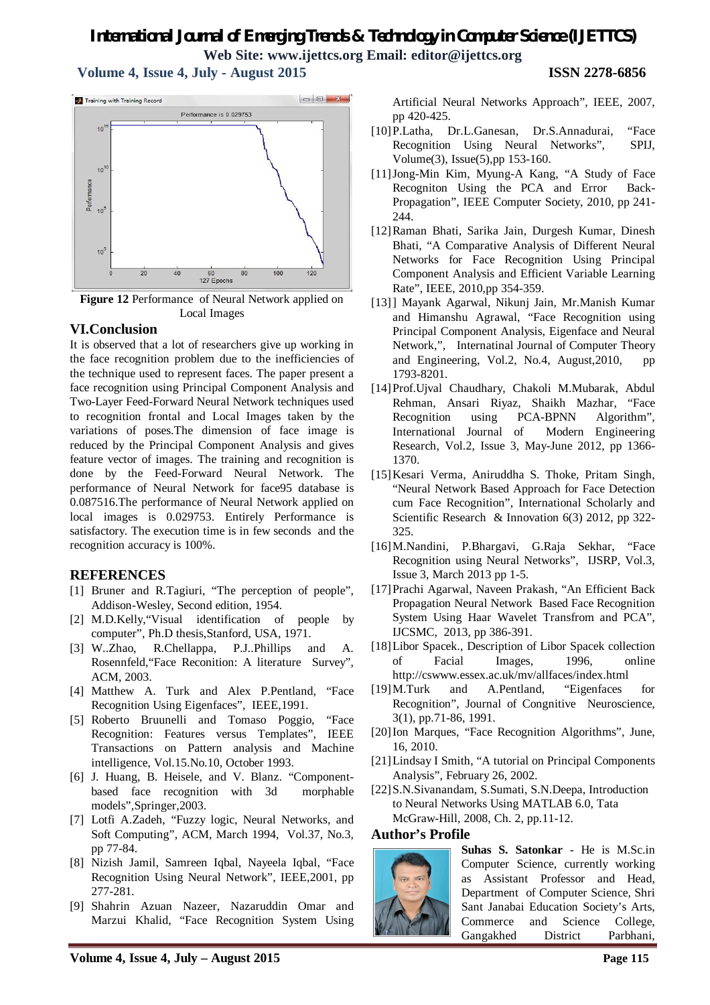**Volume 4, Issue 4, July - August 2015 ISSN 2278-6856**



**Figure 12** Performance of Neural Network applied on Local Images

### **VI.Conclusion**

It is observed that a lot of researchers give up working in the face recognition problem due to the inefficiencies of the technique used to represent faces. The paper present a face recognition using Principal Component Analysis and Two-Layer Feed-Forward Neural Network techniques used to recognition frontal and Local Images taken by the variations of poses.The dimension of face image is reduced by the Principal Component Analysis and gives feature vector of images. The training and recognition is done by the Feed-Forward Neural Network. The performance of Neural Network for face95 database is 0.087516.The performance of Neural Network applied on local images is 0.029753. Entirely Performance is satisfactory. The execution time is in few seconds and the recognition accuracy is 100%.

# **REFERENCES**

- [1] Bruner and R.Tagiuri, "The perception of people", Addison-Wesley, Second edition, 1954.
- [2] M.D.Kelly,"Visual identification of people by computer", Ph.D thesis,Stanford, USA, 1971.
- [3] W..Zhao, R.Chellappa, P.J..Phillips and A. Rosennfeld,"Face Reconition: A literature Survey", ACM, 2003.
- [4] Matthew A. Turk and Alex P.Pentland, "Face Recognition Using Eigenfaces", IEEE,1991.
- [5] Roberto Bruunelli and Tomaso Poggio, "Face Recognition: Features versus Templates", IEEE Transactions on Pattern analysis and Machine intelligence, Vol.15.No.10, October 1993.
- [6] J. Huang, B. Heisele, and V. Blanz. "Componentbased face recognition with 3d morphable models",Springer,2003.
- [7] Lotfi A.Zadeh, "Fuzzy logic, Neural Networks, and Soft Computing", ACM, March 1994, Vol.37, No.3, pp 77-84.
- [8] Nizish Jamil, Samreen Iqbal, Nayeela Iqbal, "Face Recognition Using Neural Network", IEEE,2001, pp 277-281.
- [9] Shahrin Azuan Nazeer, Nazaruddin Omar and Marzui Khalid, "Face Recognition System Using

Artificial Neural Networks Approach", IEEE, 2007, pp 420-425.

- [10]P.Latha, Dr.L.Ganesan, Dr.S.Annadurai, "Face Recognition Using Neural Networks", SPIJ, Volume(3), Issue(5),pp 153-160.
- [11]Jong-Min Kim, Myung-A Kang, "A Study of Face Recogniton Using the PCA and Error Back-Propagation", IEEE Computer Society, 2010, pp 241- 244.
- [12]Raman Bhati, Sarika Jain, Durgesh Kumar, Dinesh Bhati, "A Comparative Analysis of Different Neural Networks for Face Recognition Using Principal Component Analysis and Efficient Variable Learning Rate", IEEE, 2010,pp 354-359.
- [13]] Mayank Agarwal, Nikunj Jain, Mr.Manish Kumar and Himanshu Agrawal, "Face Recognition using Principal Component Analysis, Eigenface and Neural Network,", Internatinal Journal of Computer Theory and Engineering, Vol.2, No.4, August,2010, pp 1793-8201.
- [14]Prof.Ujval Chaudhary, Chakoli M.Mubarak, Abdul Rehman, Ansari Riyaz, Shaikh Mazhar, "Face Recognition using PCA-BPNN Algorithm", International Journal of Modern Engineering Research, Vol.2, Issue 3, May-June 2012, pp 1366- 1370.
- [15]Kesari Verma, Aniruddha S. Thoke, Pritam Singh, "Neural Network Based Approach for Face Detection cum Face Recognition", International Scholarly and Scientific Research & Innovation 6(3) 2012, pp 322- 325.
- [16]M.Nandini, P.Bhargavi, G.Raja Sekhar, "Face Recognition using Neural Networks", IJSRP, Vol.3, Issue 3, March 2013 pp 1-5.
- [17]Prachi Agarwal, Naveen Prakash, "An Efficient Back Propagation Neural Network Based Face Recognition System Using Haar Wavelet Transfrom and PCA", IJCSMC, 2013, pp 386-391.
- [18]Libor Spacek., Description of Libor Spacek collection of Facial Images, 1996, online http://cswww.essex.ac.uk/mv/allfaces/index.html
- [19]M.Turk and A.Pentland, "Eigenfaces for Recognition", Journal of Congnitive Neuroscience, 3(1), pp.71-86, 1991.
- [20]Ion Marques, "Face Recognition Algorithms", June, 16, 2010.
- [21]Lindsay I Smith, "A tutorial on Principal Components Analysis", February 26, 2002.
- [22]S.N.Sivanandam, S.Sumati, S.N.Deepa, Introduction to Neural Networks Using MATLAB 6.0, Tata McGraw-Hill, 2008, Ch. 2, pp.11-12.

#### **Author's Profile**



**Suhas S. Satonkar** - He is M.Sc.in Computer Science, currently working as Assistant Professor and Head, Department of Computer Science, Shri Sant Janabai Education Society's Arts, Commerce and Science College, Gangakhed District Parbhani,